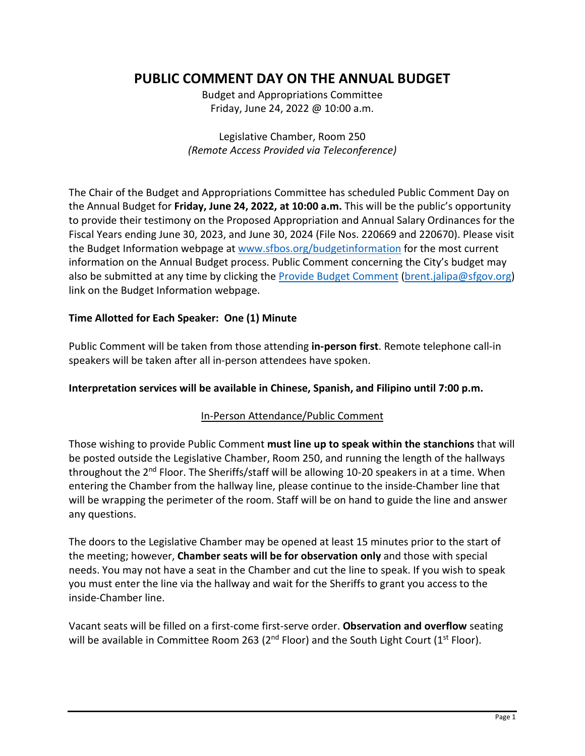# **PUBLIC COMMENT DAY ON THE ANNUAL BUDGET**

Budget and Appropriations Committee Friday, June 24, 2022 @ 10:00 a.m.

Legislative Chamber, Room 250 *(Remote Access Provided via Teleconference)*

The Chair of the Budget and Appropriations Committee has scheduled Public Comment Day on the Annual Budget for **Friday, June 24, 2022, at 10:00 a.m.** This will be the public's opportunity to provide their testimony on the Proposed Appropriation and Annual Salary Ordinances for the Fiscal Years ending June 30, 2023, and June 30, 2024 (File Nos. 220669 and 220670). Please visit the Budget Information webpage at [www.sfbos.org/budgetinformation](http://www.sfbos.org/budgetinformation) for the most current information on the Annual Budget process. Public Comment concerning the City's budget may also be submitted at any time by clicking th[e Provide Budget Comment](mailto:brent.jalipa@sfgov.org) [\(brent.jalipa@sfgov.org\)](mailto:brent.jalipa@sfgov.org) link on the Budget Information webpage.

## **Time Allotted for Each Speaker: One (1) Minute**

Public Comment will be taken from those attending **in-person first**. Remote telephone call-in speakers will be taken after all in-person attendees have spoken.

### **Interpretation services will be available in Chinese, Spanish, and Filipino until 7:00 p.m.**

### In-Person Attendance/Public Comment

Those wishing to provide Public Comment **must line up to speak within the stanchions** that will be posted outside the Legislative Chamber, Room 250, and running the length of the hallways throughout the 2<sup>nd</sup> Floor. The Sheriffs/staff will be allowing 10-20 speakers in at a time. When entering the Chamber from the hallway line, please continue to the inside-Chamber line that will be wrapping the perimeter of the room. Staff will be on hand to guide the line and answer any questions.

The doors to the Legislative Chamber may be opened at least 15 minutes prior to the start of the meeting; however, **Chamber seats will be for observation only** and those with special needs. You may not have a seat in the Chamber and cut the line to speak. If you wish to speak you must enter the line via the hallway and wait for the Sheriffs to grant you access to the inside-Chamber line.

Vacant seats will be filled on a first-come first-serve order. **Observation and overflow** seating will be available in Committee Room 263 ( $2<sup>nd</sup>$  Floor) and the South Light Court ( $1<sup>st</sup>$  Floor).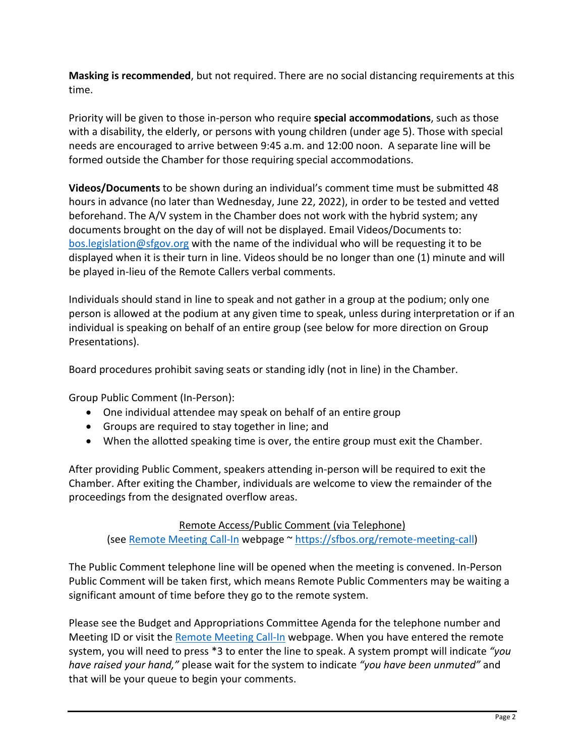**Masking is recommended**, but not required. There are no social distancing requirements at this time.

Priority will be given to those in-person who require **special accommodations**, such as those with a disability, the elderly, or persons with young children (under age 5). Those with special needs are encouraged to arrive between 9:45 a.m. and 12:00 noon. A separate line will be formed outside the Chamber for those requiring special accommodations.

**Videos/Documents** to be shown during an individual's comment time must be submitted 48 hours in advance (no later than Wednesday, June 22, 2022), in order to be tested and vetted beforehand. The A/V system in the Chamber does not work with the hybrid system; any documents brought on the day of will not be displayed. Email Videos/Documents to: [bos.legislation@sfgov.org](mailto:bos.legislation@sfgov.org) with the name of the individual who will be requesting it to be displayed when it is their turn in line. Videos should be no longer than one (1) minute and will be played in-lieu of the Remote Callers verbal comments.

Individuals should stand in line to speak and not gather in a group at the podium; only one person is allowed at the podium at any given time to speak, unless during interpretation or if an individual is speaking on behalf of an entire group (see below for more direction on Group Presentations).

Board procedures prohibit saving seats or standing idly (not in line) in the Chamber.

Group Public Comment (In-Person):

- One individual attendee may speak on behalf of an entire group
- Groups are required to stay together in line; and
- When the allotted speaking time is over, the entire group must exit the Chamber.

After providing Public Comment, speakers attending in-person will be required to exit the Chamber. After exiting the Chamber, individuals are welcome to view the remainder of the proceedings from the designated overflow areas.

Remote Access/Public Comment (via Telephone) (see [Remote Meeting Call-In](https://sfbos.org/remote-meeting-call) webpage ~ [https://sfbos.org/remote-meeting-call\)](https://sfbos.org/remote-meeting-call)

The Public Comment telephone line will be opened when the meeting is convened. In-Person Public Comment will be taken first, which means Remote Public Commenters may be waiting a significant amount of time before they go to the remote system.

Please see the Budget and Appropriations Committee Agenda for the telephone number and Meeting ID or visit the [Remote Meeting Call-In](https://sfbos.org/remote-meeting-call) webpage. When you have entered the remote system, you will need to press \*3 to enter the line to speak. A system prompt will indicate *"you have raised your hand,"* please wait for the system to indicate *"you have been unmuted"* and that will be your queue to begin your comments.